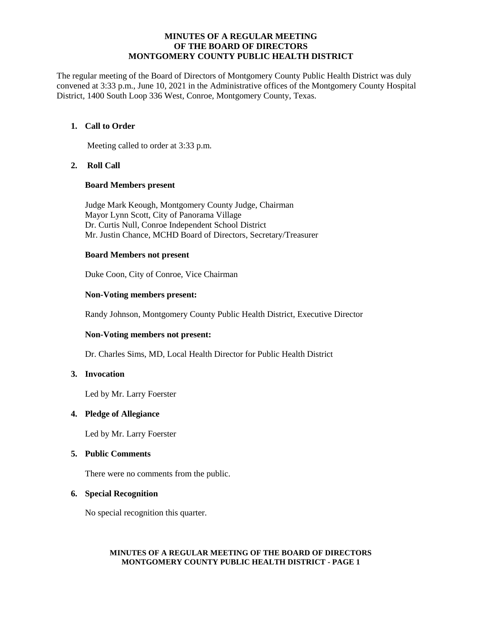#### **MINUTES OF A REGULAR MEETING OF THE BOARD OF DIRECTORS MONTGOMERY COUNTY PUBLIC HEALTH DISTRICT**

The regular meeting of the Board of Directors of Montgomery County Public Health District was duly convened at 3:33 p.m., June 10, 2021 in the Administrative offices of the Montgomery County Hospital District, 1400 South Loop 336 West, Conroe, Montgomery County, Texas.

# **1. Call to Order**

Meeting called to order at 3:33 p.m.

## **2. Roll Call**

#### **Board Members present**

Judge Mark Keough, Montgomery County Judge, Chairman Mayor Lynn Scott, City of Panorama Village Dr. Curtis Null, Conroe Independent School District Mr. Justin Chance, MCHD Board of Directors, Secretary/Treasurer

## **Board Members not present**

Duke Coon, City of Conroe, Vice Chairman

## **Non-Voting members present:**

Randy Johnson, Montgomery County Public Health District, Executive Director

## **Non-Voting members not present:**

Dr. Charles Sims, MD, Local Health Director for Public Health District

## **3. Invocation**

Led by Mr. Larry Foerster

## **4. Pledge of Allegiance**

Led by Mr. Larry Foerster

#### **5. Public Comments**

There were no comments from the public.

## **6. Special Recognition**

No special recognition this quarter.

#### **MINUTES OF A REGULAR MEETING OF THE BOARD OF DIRECTORS MONTGOMERY COUNTY PUBLIC HEALTH DISTRICT - PAGE 1**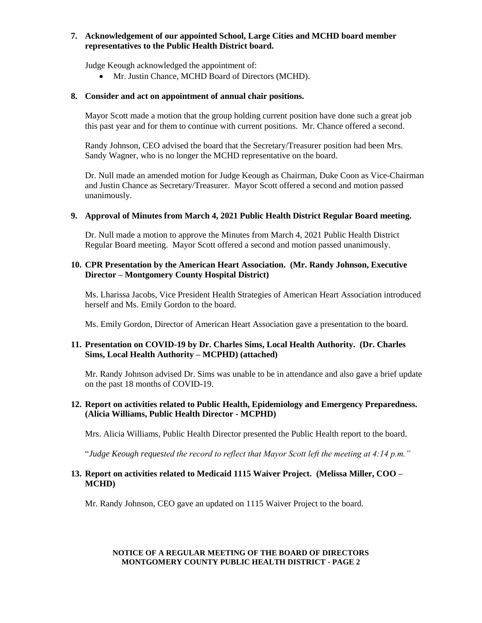# **7. Acknowledgement of our appointed School, Large Cities and MCHD board member representatives to the Public Health District board.**

Judge Keough acknowledged the appointment of:

• Mr. Justin Chance, MCHD Board of Directors (MCHD).

# **8. Consider and act on appointment of annual chair positions.**

Mayor Scott made a motion that the group holding current position have done such a great job this past year and for them to continue with current positions. Mr. Chance offered a second.

Randy Johnson, CEO advised the board that the Secretary/Treasurer position had been Mrs. Sandy Wagner, who is no longer the MCHD representative on the board.

Dr. Null made an amended motion for Judge Keough as Chairman, Duke Coon as Vice-Chairman and Justin Chance as Secretary/Treasurer. Mayor Scott offered a second and motion passed unanimously.

#### **9. Approval of Minutes from March 4, 2021 Public Health District Regular Board meeting.**

Dr. Null made a motion to approve the Minutes from March 4, 2021 Public Health District Regular Board meeting. Mayor Scott offered a second and motion passed unanimously.

## **10. CPR Presentation by the American Heart Association. (Mr. Randy Johnson, Executive Director – Montgomery County Hospital District)**

Ms. Lharissa Jacobs, Vice President Health Strategies of American Heart Association introduced herself and Ms. Emily Gordon to the board.

Ms. Emily Gordon, Director of American Heart Association gave a presentation to the board.

## **11. Presentation on COVID-19 by Dr. Charles Sims, Local Health Authority. (Dr. Charles Sims, Local Health Authority – MCPHD) (attached)**

Mr. Randy Johnson advised Dr. Sims was unable to be in attendance and also gave a brief update on the past 18 months of COVID-19.

## **12. Report on activities related to Public Health, Epidemiology and Emergency Preparedness. (Alicia Williams, Public Health Director - MCPHD)**

Mrs. Alicia Williams, Public Health Director presented the Public Health report to the board.

"*Judge Keough requested the record to reflect that Mayor Scott left the meeting at 4:14 p.m."*

## **13. Report on activities related to Medicaid 1115 Waiver Project. (Melissa Miller, COO – MCHD)**

Mr. Randy Johnson, CEO gave an updated on 1115 Waiver Project to the board.

## **NOTICE OF A REGULAR MEETING OF THE BOARD OF DIRECTORS MONTGOMERY COUNTY PUBLIC HEALTH DISTRICT - PAGE 2**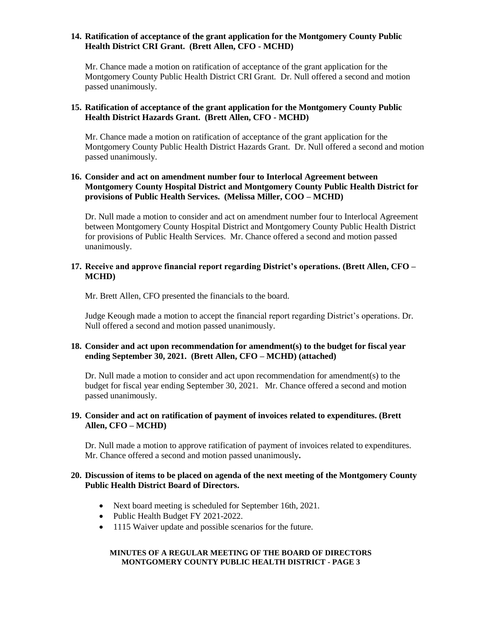## **14. Ratification of acceptance of the grant application for the Montgomery County Public Health District CRI Grant. (Brett Allen, CFO - MCHD)**

Mr. Chance made a motion on ratification of acceptance of the grant application for the Montgomery County Public Health District CRI Grant. Dr. Null offered a second and motion passed unanimously.

## **15. Ratification of acceptance of the grant application for the Montgomery County Public Health District Hazards Grant. (Brett Allen, CFO - MCHD)**

Mr. Chance made a motion on ratification of acceptance of the grant application for the Montgomery County Public Health District Hazards Grant. Dr. Null offered a second and motion passed unanimously.

# **16. Consider and act on amendment number four to Interlocal Agreement between Montgomery County Hospital District and Montgomery County Public Health District for provisions of Public Health Services. (Melissa Miller, COO – MCHD)**

Dr. Null made a motion to consider and act on amendment number four to Interlocal Agreement between Montgomery County Hospital District and Montgomery County Public Health District for provisions of Public Health Services. Mr. Chance offered a second and motion passed unanimously.

## **17. Receive and approve financial report regarding District's operations. (Brett Allen, CFO – MCHD)**

Mr. Brett Allen, CFO presented the financials to the board.

Judge Keough made a motion to accept the financial report regarding District's operations. Dr. Null offered a second and motion passed unanimously.

# **18. Consider and act upon recommendation for amendment(s) to the budget for fiscal year ending September 30, 2021. (Brett Allen, CFO – MCHD) (attached)**

Dr. Null made a motion to consider and act upon recommendation for amendment(s) to the budget for fiscal year ending September 30, 2021. Mr. Chance offered a second and motion passed unanimously.

## **19. Consider and act on ratification of payment of invoices related to expenditures. (Brett Allen, CFO – MCHD)**

Dr. Null made a motion to approve ratification of payment of invoices related to expenditures. Mr. Chance offered a second and motion passed unanimously**.**

## **20. Discussion of items to be placed on agenda of the next meeting of the Montgomery County Public Health District Board of Directors.**

- Next board meeting is scheduled for September 16th, 2021.
- Public Health Budget FY 2021-2022.
- 1115 Waiver update and possible scenarios for the future.

#### **MINUTES OF A REGULAR MEETING OF THE BOARD OF DIRECTORS MONTGOMERY COUNTY PUBLIC HEALTH DISTRICT - PAGE 3**